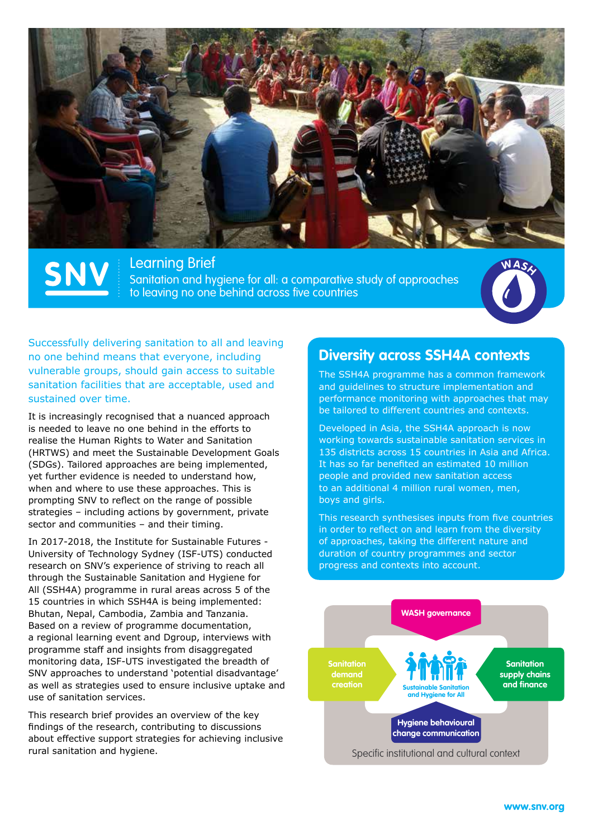

**Learning Brief** Sanitation and hygiene for all: a comparative study of approaches to leaving no one behind across five countries



Successfully delivering sanitation to all and leaving no one behind means that everyone, including vulnerable groups, should gain access to suitable sanitation facilities that are acceptable, used and sustained over time.

It is increasingly recognised that a nuanced approach is needed to leave no one behind in the efforts to realise the Human Rights to Water and Sanitation (HRTWS) and meet the Sustainable Development Goals (SDGs). Tailored approaches are being implemented, yet further evidence is needed to understand how, when and where to use these approaches. This is prompting SNV to reflect on the range of possible strategies – including actions by government, private sector and communities – and their timing.

In 2017-2018, the Institute for Sustainable Futures - University of Technology Sydney (ISF-UTS) conducted research on SNV's experience of striving to reach all through the Sustainable Sanitation and Hygiene for All (SSH4A) programme in rural areas across 5 of the 15 countries in which SSH4A is being implemented: Bhutan, Nepal, Cambodia, Zambia and Tanzania. Based on a review of programme documentation, a regional learning event and Dgroup, interviews with programme staff and insights from disaggregated monitoring data, ISF-UTS investigated the breadth of SNV approaches to understand 'potential disadvantage' as well as strategies used to ensure inclusive uptake and use of sanitation services.

This research brief provides an overview of the key findings of the research, contributing to discussions about effective support strategies for achieving inclusive rural sanitation and hygiene.

## **Diversity across SSH4A contexts**

The SSH4A programme has a common framework and guidelines to structure implementation and performance monitoring with approaches that may be tailored to different countries and contexts.

Developed in Asia, the SSH4A approach is now working towards sustainable sanitation services in 135 districts across 15 countries in Asia and Africa. It has so far benefited an estimated 10 million people and provided new sanitation access to an additional 4 million rural women, men, boys and girls.

This research synthesises inputs from five countries in order to reflect on and learn from the diversity of approaches, taking the different nature and duration of country programmes and sector progress and contexts into account.

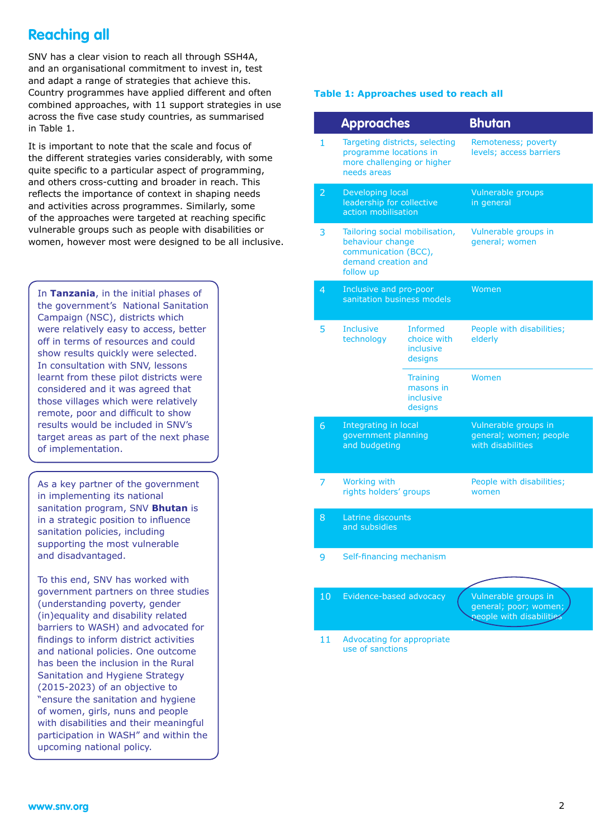# **Reaching all**

SNV has a clear vision to reach all through SSH4A, and an organisational commitment to invest in, test and adapt a range of strategies that achieve this. Country programmes have applied different and often combined approaches, with 11 support strategies in use across the five case study countries, as summarised in Table 1.

It is important to note that the scale and focus of the different strategies varies considerably, with some quite specific to a particular aspect of programming, and others cross-cutting and broader in reach. This reflects the importance of context in shaping needs and activities across programmes. Similarly, some of the approaches were targeted at reaching specific vulnerable groups such as people with disabilities or women, however most were designed to be all inclusive.

In **Tanzania**, in the initial phases of the government's National Sanitation Campaign (NSC), districts which were relatively easy to access, better off in terms of resources and could show results quickly were selected. In consultation with SNV, lessons learnt from these pilot districts were considered and it was agreed that those villages which were relatively remote, poor and difficult to show results would be included in SNV's target areas as part of the next phase of implementation.

As a key partner of the government in implementing its national sanitation program, SNV **Bhutan** is in a strategic position to influence sanitation policies, including supporting the most vulnerable and disadvantaged.

To this end, SNV has worked with government partners on three studies (understanding poverty, gender (in)equality and disability related barriers to WASH) and advocated for findings to inform district activities and national policies. One outcome has been the inclusion in the Rural Sanitation and Hygiene Strategy (2015-2023) of an objective to "ensure the sanitation and hygiene of women, girls, nuns and people with disabilities and their meaningful participation in WASH" and within the upcoming national policy.

#### **Table 1: Approaches used to reach all**

|                 | <b>Approaches</b>                                                                                              |                                                        | <b>Bhutan</b>                                                             |
|-----------------|----------------------------------------------------------------------------------------------------------------|--------------------------------------------------------|---------------------------------------------------------------------------|
| $\mathbf{1}$    | Targeting districts, selecting<br>programme locations in<br>more challenging or higher<br>needs areas          |                                                        | Remoteness; poverty<br>levels; access barriers                            |
| $\overline{2}$  | Developing local<br>leadership for collective<br>action mobilisation                                           |                                                        | Vulnerable groups<br>in general                                           |
| 3               | Tailoring social mobilisation,<br>behaviour change<br>communication (BCC),<br>demand creation and<br>follow up |                                                        | Vulnerable groups in<br>general; women                                    |
| 4               | Inclusive and pro-poor<br>sanitation business models                                                           |                                                        | Women                                                                     |
| 5               | <b>Inclusive</b><br>technology                                                                                 | <b>Informed</b><br>choice with<br>inclusive<br>designs | People with disabilities;<br>elderly                                      |
|                 |                                                                                                                | <b>Training</b><br>masons in<br>inclusive<br>designs   | Women                                                                     |
| 6 <sup>1</sup>  | Integrating in local<br>government planning<br>and budgeting                                                   |                                                        | Vulnerable groups in<br>general; women; people<br>with disabilities       |
| 7               | Working with<br>rights holders' groups                                                                         |                                                        | People with disabilities;<br>women                                        |
| 8               | Latrine discounts<br>and subsidies                                                                             |                                                        |                                                                           |
| 9               | Self-financing mechanism                                                                                       |                                                        |                                                                           |
| 10 <sub>1</sub> | Evidence-based advocacy                                                                                        |                                                        | Vulnerable groups in<br>general; poor; women;<br>people with disabilities |

11 Advocating for appropriate use of sanctions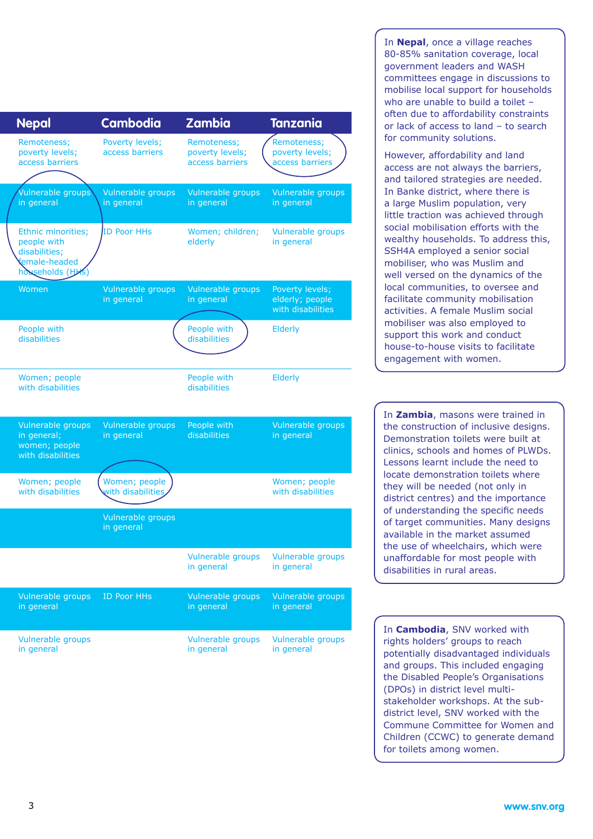| <b>Nepal</b>                                                                            | <b>Cambodia</b>                    | Zambia                                             | <b>Tanzania</b>                                         |
|-----------------------------------------------------------------------------------------|------------------------------------|----------------------------------------------------|---------------------------------------------------------|
| Remoteness;<br>poverty levels;<br>access barriers                                       | Poverty levels;<br>access barriers | Remoteness;<br>poverty levels;<br>access barriers  | Remoteness;<br>poverty levels;<br>access barriers       |
| Vulnerable groups<br>in general                                                         | Vulnerable groups<br>in general    | Vulnerable groups<br>in general                    | Vulnerable groups<br>in general                         |
| Ethnic minorities;<br>people with<br>disabilities;<br>female-headed<br>hosseholds (HKS) | <b>ID Poor HHs</b>                 | Women; children;<br>elderly                        | Vulnerable groups<br>in general                         |
| Women                                                                                   | Vulnerable groups<br>in general    | Vulnerable groups<br>in general                    | Poverty levels;<br>elderly; people<br>with disabilities |
| People with<br>disabilities                                                             |                                    | People with<br>disabilities                        | Elderly                                                 |
| Women; people<br>with disabilities                                                      |                                    | People with<br>disabilities                        | Elderly                                                 |
| Vulnerable groups<br>in general;<br>women; people<br>with disabilities                  | Vulnerable groups<br>in general    | People with<br><b>disabilities</b>                 | Vulnerable groups<br>in general                         |
| Women; people<br>with disabilities                                                      | Women; people<br>with disabilities |                                                    | Women; people<br>with disabilities                      |
|                                                                                         | Vulnerable groups<br>in general    |                                                    |                                                         |
|                                                                                         |                                    | Vulnerable groups  Vulnerable groups<br>in general | in general                                              |
| Vulnerable groups<br>in general                                                         | <b>ID Poor HHs</b>                 | Vulnerable groups<br>in general                    | Vulnerable groups<br>in general                         |
| Vulnerable groups<br>in general                                                         |                                    | Vulnerable groups<br>in general                    | Vulnerable groups<br>in general                         |

In **Nepal**, once a village reaches 80-85% sanitation coverage, local government leaders and WASH committees engage in discussions to mobilise local support for households who are unable to build a toilet often due to affordability constraints or lack of access to land – to search for community solutions.

However, affordability and land access are not always the barriers, and tailored strategies are needed. In Banke district, where there is a large Muslim population, very little traction was achieved through social mobilisation efforts with the wealthy households. To address this, SSH4A employed a senior social mobiliser, who was Muslim and well versed on the dynamics of the local communities, to oversee and facilitate community mobilisation activities. A female Muslim social mobiliser was also employed to support this work and conduct house-to-house visits to facilitate engagement with women.

In **Zambia**, masons were trained in the construction of inclusive designs. Demonstration toilets were built at clinics, schools and homes of PLWDs. Lessons learnt include the need to locate demonstration toilets where they will be needed (not only in district centres) and the importance of understanding the specific needs of target communities. Many designs available in the market assumed the use of wheelchairs, which were unaffordable for most people with disabilities in rural areas.

In **Cambodia**, SNV worked with rights holders' groups to reach potentially disadvantaged individuals and groups. This included engaging the Disabled People's Organisations (DPOs) in district level multistakeholder workshops. At the subdistrict level, SNV worked with the Commune Committee for Women and Children (CCWC) to generate demand for toilets among women.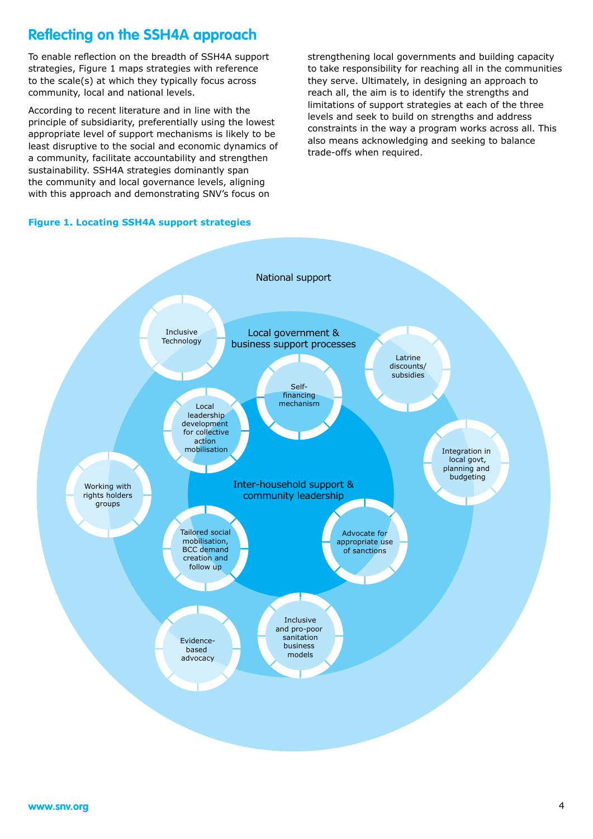# **Reflecting on the SSH4A approach**

To enable reflection on the breadth of SSH4A support strategies, Figure 1 maps strategies with reference to the scale(s) at which they typically focus across community, local and national levels.

According to recent literature and in line with the principle of subsidiarity, preferentially using the lowest appropriate level of support mechanisms is likely to be least disruptive to the social and economic dynamics of a community, facilitate accountability and strengthen sustainability. SSH4A strategies dominantly span the community and local governance levels, aligning with this approach and demonstrating SNV's focus on

strengthening local governments and building capacity to take responsibility for reaching all in the communities they serve. Ultimately, in designing an approach to reach all, the aim is to identify the strengths and limitations of support strategies at each of the three levels and seek to build on strengths and address constraints in the way a program works across all. This also means acknowledging and seeking to balance trade-offs when required.

#### **Figure 1. Locating SSH4A support strategies**

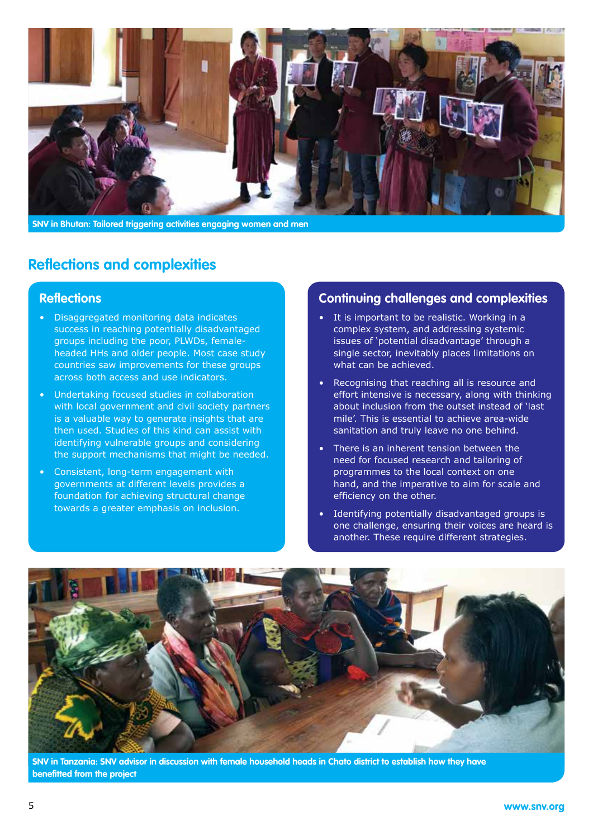

**SNV in Bhutan: Tailored triggering activities engaging women and men**

## **Reflections and complexities**

#### **Reflections**

- Disaggregated monitoring data indicates success in reaching potentially disadvantaged groups including the poor, PLWDs, femaleheaded HHs and older people. Most case study countries saw improvements for these groups across both access and use indicators.
- Undertaking focused studies in collaboration with local government and civil society partners is a valuable way to generate insights that are then used. Studies of this kind can assist with identifying vulnerable groups and considering the support mechanisms that might be needed.
- Consistent, long-term engagement with governments at different levels provides a foundation for achieving structural change towards a greater emphasis on inclusion.

#### **Continuing challenges and complexities**

- It is important to be realistic. Working in a complex system, and addressing systemic issues of 'potential disadvantage' through a single sector, inevitably places limitations on what can be achieved.
- Recognising that reaching all is resource and effort intensive is necessary, along with thinking about inclusion from the outset instead of 'last mile'. This is essential to achieve area-wide sanitation and truly leave no one behind.
- There is an inherent tension between the need for focused research and tailoring of programmes to the local context on one hand, and the imperative to aim for scale and efficiency on the other.
- Identifying potentially disadvantaged groups is one challenge, ensuring their voices are heard is another. These require different strategies.



**SNV in Tanzania: SNV advisor in discussion with female household heads in Chato district to establish how they have benefitted from the project**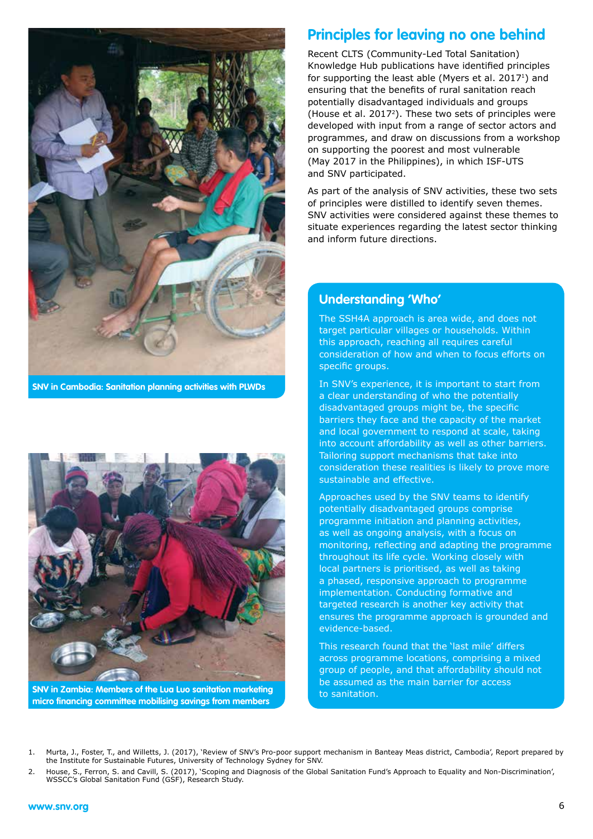

**SNV in Cambodia: Sanitation planning activities with PLWDs**



**SNV in Zambia: Members of the Lua Luo sanitation marketing micro financing committee mobilising savings from members**

## **Principles for leaving no one behind**

Recent CLTS (Community-Led Total Sanitation) Knowledge Hub publications have identified principles for supporting the least able (Myers et al.  $2017<sup>1</sup>$ ) and ensuring that the benefits of rural sanitation reach potentially disadvantaged individuals and groups (House et al. 20172). These two sets of principles were developed with input from a range of sector actors and programmes, and draw on discussions from a workshop on supporting the poorest and most vulnerable (May 2017 in the Philippines), in which ISF-UTS and SNV participated.

As part of the analysis of SNV activities, these two sets of principles were distilled to identify seven themes. SNV activities were considered against these themes to situate experiences regarding the latest sector thinking and inform future directions.

#### **Understanding 'Who'**

The SSH4A approach is area wide, and does not target particular villages or households. Within this approach, reaching all requires careful consideration of how and when to focus efforts on specific groups.

In SNV's experience, it is important to start from a clear understanding of who the potentially disadvantaged groups might be, the specific barriers they face and the capacity of the market and local government to respond at scale, taking into account affordability as well as other barriers. Tailoring support mechanisms that take into consideration these realities is likely to prove more sustainable and effective.

Approaches used by the SNV teams to identify potentially disadvantaged groups comprise programme initiation and planning activities, as well as ongoing analysis, with a focus on monitoring, reflecting and adapting the programme throughout its life cycle. Working closely with local partners is prioritised, as well as taking a phased, responsive approach to programme implementation. Conducting formative and targeted research is another key activity that ensures the programme approach is grounded and evidence-based.

This research found that the 'last mile' differs across programme locations, comprising a mixed group of people, and that affordability should not be assumed as the main barrier for access to sanitation.

<sup>1.</sup> Murta, J., Foster, T., and Willetts, J. (2017), 'Review of SNV's Pro-poor support mechanism in Banteay Meas district, Cambodia', Report prepared by the Institute for Sustainable Futures, University of Technology Sydney for SNV.

<sup>2.</sup> House, S., Ferron, S. and Cavill, S. (2017), 'Scoping and Diagnosis of the Global Sanitation Fund's Approach to Equality and Non-Discrimination', WSSCC's Global Sanitation Fund (GSF), Research Study.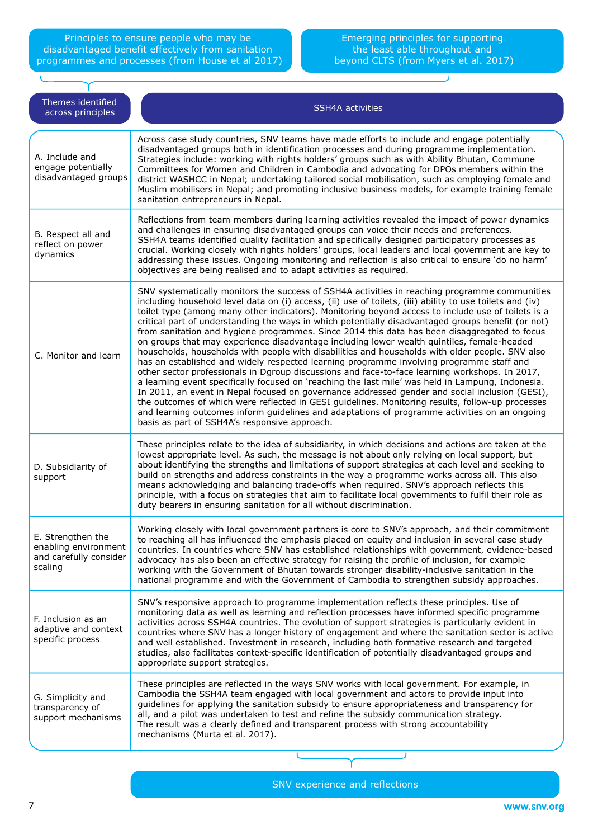Principles to ensure people who may be disadvantaged benefit effectively from sanitation programmes and processes (from House et al 2017)

Ù

#### Emerging principles for supporting the least able throughout and beyond CLTS (from Myers et al. 2017)

τ.

| Themes identified<br>across principles                                         | <b>SSH4A activities</b>                                                                                                                                                                                                                                                                                                                                                                                                                                                                                                                                                                                                                                                                                                                                                                                                                                                                                                                                                                                                                                                                                                                                                                                                                                                                                                                                                           |
|--------------------------------------------------------------------------------|-----------------------------------------------------------------------------------------------------------------------------------------------------------------------------------------------------------------------------------------------------------------------------------------------------------------------------------------------------------------------------------------------------------------------------------------------------------------------------------------------------------------------------------------------------------------------------------------------------------------------------------------------------------------------------------------------------------------------------------------------------------------------------------------------------------------------------------------------------------------------------------------------------------------------------------------------------------------------------------------------------------------------------------------------------------------------------------------------------------------------------------------------------------------------------------------------------------------------------------------------------------------------------------------------------------------------------------------------------------------------------------|
| A. Include and<br>engage potentially<br>disadvantaged groups                   | Across case study countries, SNV teams have made efforts to include and engage potentially<br>disadvantaged groups both in identification processes and during programme implementation.<br>Strategies include: working with rights holders' groups such as with Ability Bhutan, Commune<br>Committees for Women and Children in Cambodia and advocating for DPOs members within the<br>district WASHCC in Nepal; undertaking tailored social mobilisation, such as employing female and<br>Muslim mobilisers in Nepal; and promoting inclusive business models, for example training female<br>sanitation entrepreneurs in Nepal.                                                                                                                                                                                                                                                                                                                                                                                                                                                                                                                                                                                                                                                                                                                                                |
| B. Respect all and<br>reflect on power<br>dynamics                             | Reflections from team members during learning activities revealed the impact of power dynamics<br>and challenges in ensuring disadvantaged groups can voice their needs and preferences.<br>SSH4A teams identified quality facilitation and specifically designed participatory processes as<br>crucial. Working closely with rights holders' groups, local leaders and local government are key to<br>addressing these issues. Ongoing monitoring and reflection is also critical to ensure 'do no harm'<br>objectives are being realised and to adapt activities as required.                                                                                                                                                                                                                                                                                                                                                                                                                                                                                                                                                                                                                                                                                                                                                                                                   |
| C. Monitor and learn                                                           | SNV systematically monitors the success of SSH4A activities in reaching programme communities<br>including household level data on (i) access, (ii) use of toilets, (iii) ability to use toilets and (iv)<br>toilet type (among many other indicators). Monitoring beyond access to include use of toilets is a<br>critical part of understanding the ways in which potentially disadvantaged groups benefit (or not)<br>from sanitation and hygiene programmes. Since 2014 this data has been disaggregated to focus<br>on groups that may experience disadvantage including lower wealth quintiles, female-headed<br>households, households with people with disabilities and households with older people. SNV also<br>has an established and widely respected learning programme involving programme staff and<br>other sector professionals in Dgroup discussions and face-to-face learning workshops. In 2017,<br>a learning event specifically focused on 'reaching the last mile' was held in Lampung, Indonesia.<br>In 2011, an event in Nepal focused on governance addressed gender and social inclusion (GESI),<br>the outcomes of which were reflected in GESI guidelines. Monitoring results, follow-up processes<br>and learning outcomes inform guidelines and adaptations of programme activities on an ongoing<br>basis as part of SSH4A's responsive approach. |
| D. Subsidiarity of<br>support                                                  | These principles relate to the idea of subsidiarity, in which decisions and actions are taken at the<br>lowest appropriate level. As such, the message is not about only relying on local support, but<br>about identifying the strengths and limitations of support strategies at each level and seeking to<br>build on strengths and address constraints in the way a programme works across all. This also<br>means acknowledging and balancing trade-offs when required. SNV's approach reflects this<br>principle, with a focus on strategies that aim to facilitate local governments to fulfil their role as<br>duty bearers in ensuring sanitation for all without discrimination.                                                                                                                                                                                                                                                                                                                                                                                                                                                                                                                                                                                                                                                                                        |
| E. Strengthen the<br>enabling environment<br>and carefully consider<br>scaling | Working closely with local government partners is core to SNV's approach, and their commitment<br>to reaching all has influenced the emphasis placed on equity and inclusion in several case study<br>countries. In countries where SNV has established relationships with government, evidence-based<br>advocacy has also been an effective strategy for raising the profile of inclusion, for example<br>working with the Government of Bhutan towards stronger disability-inclusive sanitation in the<br>national programme and with the Government of Cambodia to strengthen subsidy approaches.                                                                                                                                                                                                                                                                                                                                                                                                                                                                                                                                                                                                                                                                                                                                                                              |
| F. Inclusion as an<br>adaptive and context<br>specific process                 | SNV's responsive approach to programme implementation reflects these principles. Use of<br>monitoring data as well as learning and reflection processes have informed specific programme<br>activities across SSH4A countries. The evolution of support strategies is particularly evident in<br>countries where SNV has a longer history of engagement and where the sanitation sector is active<br>and well established. Investment in research, including both formative research and targeted<br>studies, also facilitates context-specific identification of potentially disadvantaged groups and<br>appropriate support strategies.                                                                                                                                                                                                                                                                                                                                                                                                                                                                                                                                                                                                                                                                                                                                         |
| G. Simplicity and<br>transparency of<br>support mechanisms                     | These principles are reflected in the ways SNV works with local government. For example, in<br>Cambodia the SSH4A team engaged with local government and actors to provide input into<br>guidelines for applying the sanitation subsidy to ensure appropriateness and transparency for<br>all, and a pilot was undertaken to test and refine the subsidy communication strategy.<br>The result was a clearly defined and transparent process with strong accountability<br>mechanisms (Murta et al. 2017).                                                                                                                                                                                                                                                                                                                                                                                                                                                                                                                                                                                                                                                                                                                                                                                                                                                                        |